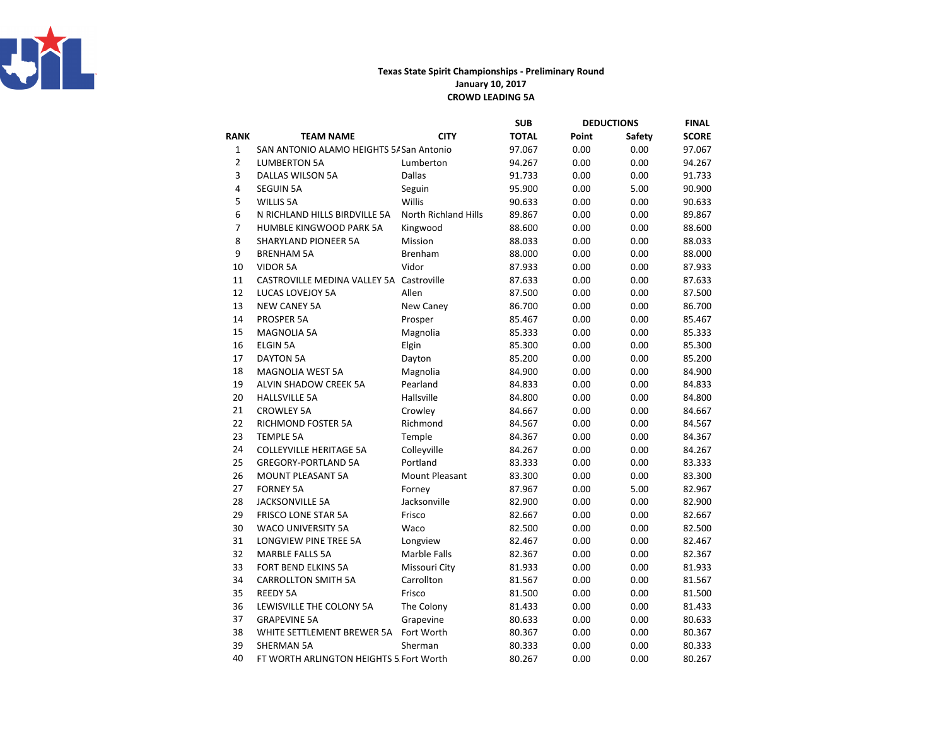

## Texas State Spirit Championships - Preliminary RoundJanuary 10, 2017CROWD LEADING 5A

|                |                                          |                             | SUB          |       | <b>DEDUCTIONS</b> | <b>FINAL</b> |
|----------------|------------------------------------------|-----------------------------|--------------|-------|-------------------|--------------|
| RANK           | <b>TEAM NAME</b>                         | <b>CITY</b>                 | <b>TOTAL</b> | Point | Safety            | <b>SCORE</b> |
| 1              | SAN ANTONIO ALAMO HEIGHTS 5/ San Antonio |                             | 97.067       | 0.00  | 0.00              | 97.067       |
| $\overline{2}$ | <b>LUMBERTON 5A</b>                      | Lumberton                   | 94.267       | 0.00  | 0.00              | 94.267       |
| 3              | DALLAS WILSON 5A                         | <b>Dallas</b>               | 91.733       | 0.00  | 0.00              | 91.733       |
| 4              | <b>SEGUIN 5A</b>                         | Seguin                      | 95.900       | 0.00  | 5.00              | 90.900       |
| 5              | <b>WILLIS 5A</b>                         | Willis                      | 90.633       | 0.00  | 0.00              | 90.633       |
| 6              | N RICHLAND HILLS BIRDVILLE 5A            | <b>North Richland Hills</b> | 89.867       | 0.00  | 0.00              | 89.867       |
| $\overline{7}$ | HUMBLE KINGWOOD PARK 5A                  | Kingwood                    | 88.600       | 0.00  | 0.00              | 88.600       |
| 8              | <b>SHARYLAND PIONEER 5A</b>              | Mission                     | 88.033       | 0.00  | 0.00              | 88.033       |
| 9              | <b>BRENHAM 5A</b>                        | Brenham                     | 88.000       | 0.00  | 0.00              | 88.000       |
| 10             | <b>VIDOR 5A</b>                          | Vidor                       | 87.933       | 0.00  | 0.00              | 87.933       |
| 11             | CASTROVILLE MEDINA VALLEY 5A Castroville |                             | 87.633       | 0.00  | 0.00              | 87.633       |
| 12             | LUCAS LOVEJOY 5A                         | Allen                       | 87.500       | 0.00  | 0.00              | 87.500       |
| 13             | <b>NEW CANEY 5A</b>                      | New Caney                   | 86.700       | 0.00  | 0.00              | 86.700       |
| 14             | PROSPER 5A                               | Prosper                     | 85.467       | 0.00  | 0.00              | 85.467       |
| 15             | <b>MAGNOLIA 5A</b>                       | Magnolia                    | 85.333       | 0.00  | 0.00              | 85.333       |
| 16             | <b>ELGIN 5A</b>                          | Elgin                       | 85.300       | 0.00  | 0.00              | 85.300       |
| 17             | <b>DAYTON 5A</b>                         | Dayton                      | 85.200       | 0.00  | 0.00              | 85.200       |
| 18             | <b>MAGNOLIA WEST 5A</b>                  | Magnolia                    | 84.900       | 0.00  | 0.00              | 84.900       |
| 19             | ALVIN SHADOW CREEK 5A                    | Pearland                    | 84.833       | 0.00  | 0.00              | 84.833       |
| 20             | <b>HALLSVILLE 5A</b>                     | Hallsville                  | 84.800       | 0.00  | 0.00              | 84.800       |
| 21             | <b>CROWLEY 5A</b>                        | Crowley                     | 84.667       | 0.00  | 0.00              | 84.667       |
| 22             | <b>RICHMOND FOSTER 5A</b>                | Richmond                    | 84.567       | 0.00  | 0.00              | 84.567       |
| 23             | <b>TEMPLE 5A</b>                         | Temple                      | 84.367       | 0.00  | 0.00              | 84.367       |
| 24             | <b>COLLEYVILLE HERITAGE 5A</b>           | Colleyville                 | 84.267       | 0.00  | 0.00              | 84.267       |
| 25             | <b>GREGORY-PORTLAND 5A</b>               | Portland                    | 83.333       | 0.00  | 0.00              | 83.333       |
| 26             | <b>MOUNT PLEASANT 5A</b>                 | <b>Mount Pleasant</b>       | 83.300       | 0.00  | 0.00              | 83.300       |
| 27             | <b>FORNEY 5A</b>                         | Forney                      | 87.967       | 0.00  | 5.00              | 82.967       |
| 28             | <b>JACKSONVILLE 5A</b>                   | Jacksonville                | 82.900       | 0.00  | 0.00              | 82.900       |
| 29             | <b>FRISCO LONE STAR 5A</b>               | Frisco                      | 82.667       | 0.00  | 0.00              | 82.667       |
| 30             | <b>WACO UNIVERSITY 5A</b>                | Waco                        | 82.500       | 0.00  | 0.00              | 82.500       |
| 31             | LONGVIEW PINE TREE 5A                    | Longview                    | 82.467       | 0.00  | 0.00              | 82.467       |
| 32             | <b>MARBLE FALLS 5A</b>                   | Marble Falls                | 82.367       | 0.00  | 0.00              | 82.367       |
| 33             | FORT BEND ELKINS 5A                      | Missouri City               | 81.933       | 0.00  | 0.00              | 81.933       |
| 34             | <b>CARROLLTON SMITH 5A</b>               | Carrollton                  | 81.567       | 0.00  | 0.00              | 81.567       |
| 35             | <b>REEDY 5A</b>                          | Frisco                      | 81.500       | 0.00  | 0.00              | 81.500       |
| 36             | LEWISVILLE THE COLONY 5A                 | The Colony                  | 81.433       | 0.00  | 0.00              | 81.433       |
| 37             | <b>GRAPEVINE 5A</b>                      | Grapevine                   | 80.633       | 0.00  | 0.00              | 80.633       |
| 38             | WHITE SETTLEMENT BREWER 5A               | Fort Worth                  | 80.367       | 0.00  | 0.00              | 80.367       |
| 39             | <b>SHERMAN 5A</b>                        | Sherman                     | 80.333       | 0.00  | 0.00              | 80.333       |
| 40             | FT WORTH ARLINGTON HEIGHTS 5 Fort Worth  |                             | 80.267       | 0.00  | 0.00              | 80.267       |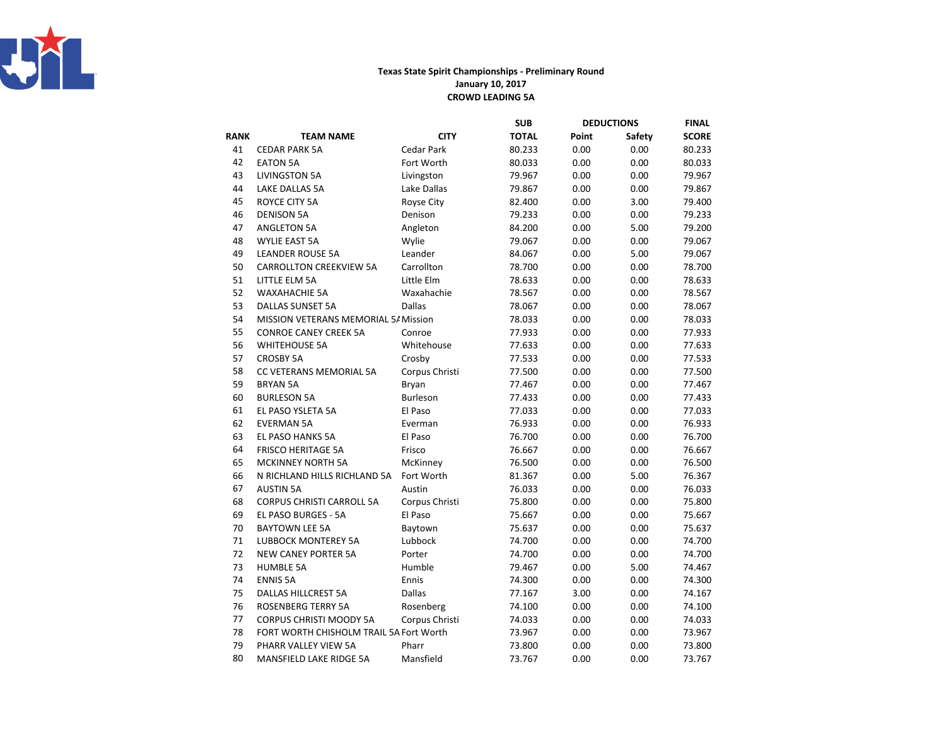

## Texas State Spirit Championships - Preliminary RoundJanuary 10, 2017CROWD LEADING 5A

|             |                                         |                | <b>SUB</b>   | <b>DEDUCTIONS</b> |        | <b>FINAL</b> |
|-------------|-----------------------------------------|----------------|--------------|-------------------|--------|--------------|
| <b>RANK</b> | <b>TEAM NAME</b>                        | <b>CITY</b>    | <b>TOTAL</b> | Point             | Safety | <b>SCORE</b> |
| 41          | <b>CEDAR PARK 5A</b>                    | Cedar Park     | 80.233       | 0.00              | 0.00   | 80.233       |
| 42          | <b>EATON 5A</b>                         | Fort Worth     | 80.033       | 0.00              | 0.00   | 80.033       |
| 43          | LIVINGSTON 5A                           | Livingston     | 79.967       | 0.00              | 0.00   | 79.967       |
| 44          | LAKE DALLAS 5A                          | Lake Dallas    | 79.867       | 0.00              | 0.00   | 79.867       |
| 45          | ROYCE CITY 5A                           | Royse City     | 82.400       | 0.00              | 3.00   | 79.400       |
| 46          | <b>DENISON 5A</b>                       | Denison        | 79.233       | 0.00              | 0.00   | 79.233       |
| 47          | <b>ANGLETON 5A</b>                      | Angleton       | 84.200       | 0.00              | 5.00   | 79.200       |
| 48          | <b>WYLIE EAST 5A</b>                    | Wylie          | 79.067       | 0.00              | 0.00   | 79.067       |
| 49          | <b>LEANDER ROUSE 5A</b>                 | Leander        | 84.067       | 0.00              | 5.00   | 79.067       |
| 50          | <b>CARROLLTON CREEKVIEW 5A</b>          | Carrollton     | 78.700       | 0.00              | 0.00   | 78.700       |
| 51          | LITTLE ELM 5A                           | Little Elm     | 78.633       | 0.00              | 0.00   | 78.633       |
| 52          | <b>WAXAHACHIE 5A</b>                    | Waxahachie     | 78.567       | 0.00              | 0.00   | 78.567       |
| 53          | <b>DALLAS SUNSET 5A</b>                 | <b>Dallas</b>  | 78.067       | 0.00              | 0.00   | 78.067       |
| 54          | MISSION VETERANS MEMORIAL 5/ Mission    |                | 78.033       | 0.00              | 0.00   | 78.033       |
| 55          | <b>CONROE CANEY CREEK 5A</b>            | Conroe         | 77.933       | 0.00              | 0.00   | 77.933       |
| 56          | <b>WHITEHOUSE 5A</b>                    | Whitehouse     | 77.633       | 0.00              | 0.00   | 77.633       |
| 57          | <b>CROSBY 5A</b>                        | Crosby         | 77.533       | 0.00              | 0.00   | 77.533       |
| 58          | CC VETERANS MEMORIAL 5A                 | Corpus Christi | 77.500       | 0.00              | 0.00   | 77.500       |
| 59          | <b>BRYAN 5A</b>                         | Bryan          | 77.467       | 0.00              | 0.00   | 77.467       |
| 60          | <b>BURLESON 5A</b>                      | Burleson       | 77.433       | 0.00              | 0.00   | 77.433       |
| 61          | EL PASO YSLETA 5A                       | El Paso        | 77.033       | 0.00              | 0.00   | 77.033       |
| 62          | <b>EVERMAN 5A</b>                       | Everman        | 76.933       | 0.00              | 0.00   | 76.933       |
| 63          | <b>EL PASO HANKS 5A</b>                 | El Paso        | 76.700       | 0.00              | 0.00   | 76.700       |
| 64          | <b>FRISCO HERITAGE 5A</b>               | Frisco         | 76.667       | 0.00              | 0.00   | 76.667       |
| 65          | <b>MCKINNEY NORTH 5A</b>                | McKinney       | 76.500       | 0.00              | 0.00   | 76.500       |
| 66          | N RICHLAND HILLS RICHLAND 5A            | Fort Worth     | 81.367       | 0.00              | 5.00   | 76.367       |
| 67          | <b>AUSTIN 5A</b>                        | Austin         | 76.033       | 0.00              | 0.00   | 76.033       |
| 68          | <b>CORPUS CHRISTI CARROLL 5A</b>        | Corpus Christi | 75.800       | 0.00              | 0.00   | 75.800       |
| 69          | EL PASO BURGES - 5A                     | El Paso        | 75.667       | 0.00              | 0.00   | 75.667       |
| 70          | <b>BAYTOWN LEE 5A</b>                   | Baytown        | 75.637       | 0.00              | 0.00   | 75.637       |
| 71          | <b>LUBBOCK MONTEREY 5A</b>              | Lubbock        | 74.700       | 0.00              | 0.00   | 74.700       |
| 72          | <b>NEW CANEY PORTER 5A</b>              | Porter         | 74.700       | 0.00              | 0.00   | 74.700       |
| 73          | <b>HUMBLE 5A</b>                        | Humble         | 79.467       | 0.00              | 5.00   | 74.467       |
| 74          | <b>ENNIS 5A</b>                         | Ennis          | 74.300       | 0.00              | 0.00   | 74.300       |
| 75          | <b>DALLAS HILLCREST 5A</b>              | Dallas         | 77.167       | 3.00              | 0.00   | 74.167       |
| 76          | <b>ROSENBERG TERRY 5A</b>               | Rosenberg      | 74.100       | 0.00              | 0.00   | 74.100       |
| 77          | CORPUS CHRISTI MOODY 5A                 | Corpus Christi | 74.033       | 0.00              | 0.00   | 74.033       |
| 78          | FORT WORTH CHISHOLM TRAIL 5A Fort Worth |                | 73.967       | 0.00              | 0.00   | 73.967       |
| 79          | PHARR VALLEY VIEW 5A                    | Pharr          | 73.800       | 0.00              | 0.00   | 73.800       |
| 80          | <b>MANSFIELD LAKE RIDGE 5A</b>          | Mansfield      | 73.767       | 0.00              | 0.00   | 73.767       |
|             |                                         |                |              |                   |        |              |